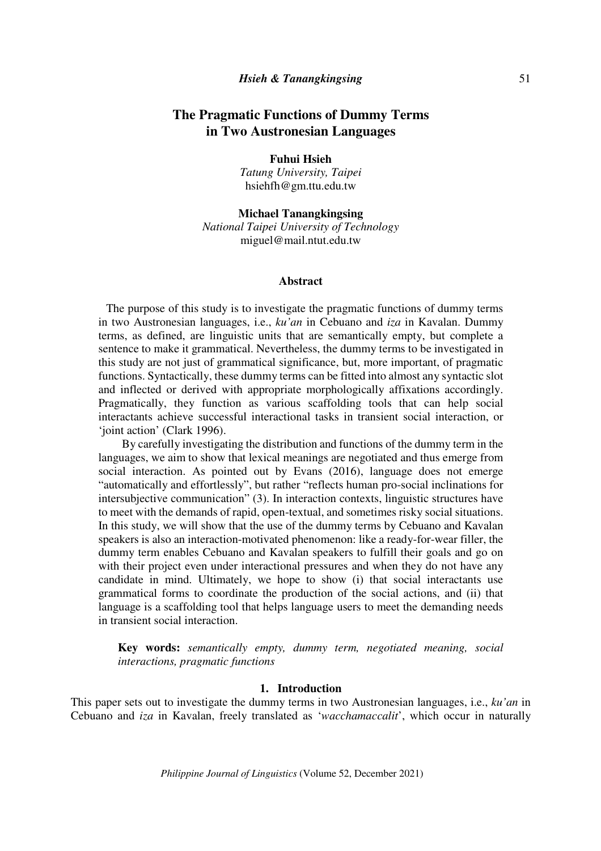# **Fuhui Hsieh**

*Tatung University, Taipei*  hsiehfh@gm.ttu.edu.tw

**Michael Tanangkingsing**  *National Taipei University of Technology*  miguel@mail.ntut.edu.tw

### **Abstract**

 The purpose of this study is to investigate the pragmatic functions of dummy terms in two Austronesian languages, i.e., *ku'an* in Cebuano and *iza* in Kavalan. Dummy terms, as defined, are linguistic units that are semantically empty, but complete a sentence to make it grammatical. Nevertheless, the dummy terms to be investigated in this study are not just of grammatical significance, but, more important, of pragmatic functions. Syntactically, these dummy terms can be fitted into almost any syntactic slot and inflected or derived with appropriate morphologically affixations accordingly. Pragmatically, they function as various scaffolding tools that can help social interactants achieve successful interactional tasks in transient social interaction, or 'joint action' (Clark 1996).

By carefully investigating the distribution and functions of the dummy term in the languages, we aim to show that lexical meanings are negotiated and thus emerge from social interaction. As pointed out by Evans (2016), language does not emerge "automatically and effortlessly", but rather "reflects human pro-social inclinations for intersubjective communication" (3). In interaction contexts, linguistic structures have to meet with the demands of rapid, open-textual, and sometimes risky social situations. In this study, we will show that the use of the dummy terms by Cebuano and Kavalan speakers is also an interaction-motivated phenomenon: like a ready-for-wear filler, the dummy term enables Cebuano and Kavalan speakers to fulfill their goals and go on with their project even under interactional pressures and when they do not have any candidate in mind. Ultimately, we hope to show (i) that social interactants use grammatical forms to coordinate the production of the social actions, and (ii) that language is a scaffolding tool that helps language users to meet the demanding needs in transient social interaction.

**Key words:** *semantically empty, dummy term, negotiated meaning, social interactions, pragmatic functions*

## **1. Introduction**

This paper sets out to investigate the dummy terms in two Austronesian languages, i.e., *ku'an* in Cebuano and *iza* in Kavalan, freely translated as '*wacchamaccalit*', which occur in naturally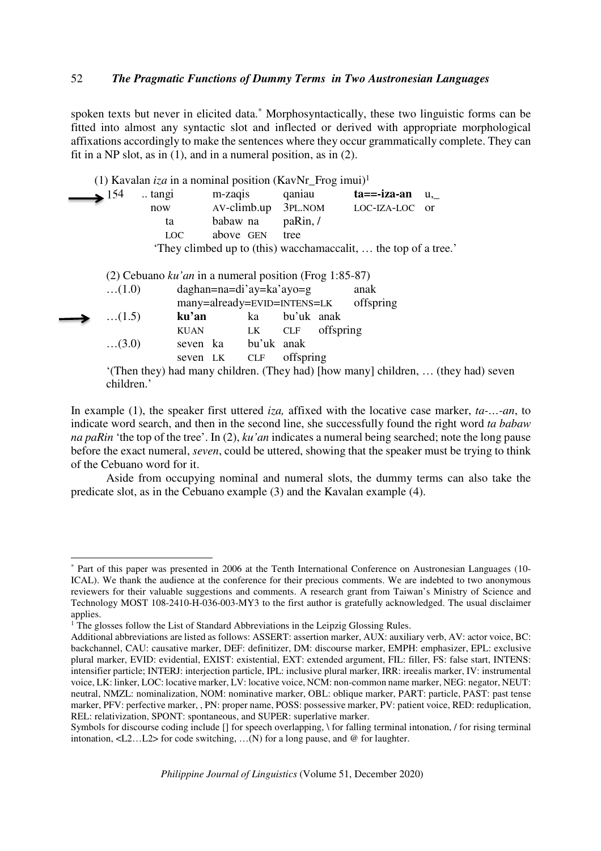spoken texts but never in elicited data.\* Morphosyntactically, these two linguistic forms can be fitted into almost any syntactic slot and inflected or derived with appropriate morphological affixations accordingly to make the sentences where they occur grammatically complete. They can fit in a NP slot, as in (1), and in a numeral position, as in (2).

|              | (1) Kavalan iza in a nominal position (KavNr_Frog imui) <sup>1</sup> |                             |                                                                                                                                                                                                                                |            |               |                                                                 |                                                                                   |
|--------------|----------------------------------------------------------------------|-----------------------------|--------------------------------------------------------------------------------------------------------------------------------------------------------------------------------------------------------------------------------|------------|---------------|-----------------------------------------------------------------|-----------------------------------------------------------------------------------|
| $\geq 154$   | tangi                                                                | m-zaqis                     |                                                                                                                                                                                                                                | qaniau     |               | ta==-iza-an u,                                                  |                                                                                   |
|              | now                                                                  | $AV-climb.up$               |                                                                                                                                                                                                                                |            |               | 3PL.NOM LOC-IZA-LOC or                                          |                                                                                   |
|              | ta                                                                   | babaw na paRin, /           |                                                                                                                                                                                                                                |            |               |                                                                 |                                                                                   |
|              | LOC.                                                                 | above GEN                   |                                                                                                                                                                                                                                | tree       |               |                                                                 |                                                                                   |
|              |                                                                      |                             |                                                                                                                                                                                                                                |            |               | 'They climbed up to (this) wacchamaccalit,  the top of a tree.' |                                                                                   |
|              |                                                                      |                             |                                                                                                                                                                                                                                |            |               |                                                                 |                                                                                   |
|              | (2) Cebuano $ku'an$ in a numeral position (Frog 1:85-87)             |                             |                                                                                                                                                                                                                                |            |               |                                                                 |                                                                                   |
| (1.0)        |                                                                      | $d$ aghan=na=di'ay=ka'ayo=g |                                                                                                                                                                                                                                |            |               | anak                                                            |                                                                                   |
|              |                                                                      |                             |                                                                                                                                                                                                                                |            |               | many=already=EVID=INTENS=LK offspring                           |                                                                                   |
| $\dots(1.5)$ | ku'an                                                                |                             | ka                                                                                                                                                                                                                             | bu'uk anak |               |                                                                 |                                                                                   |
|              | KUAN                                                                 |                             | LK but the state of the state of the state of the state of the state of the state of the state of the state of the state of the state of the state of the state of the state of the state of the state of the state of the sta |            | CLF offspring |                                                                 |                                                                                   |
| (3.0)        |                                                                      | seven ka bu'uk anak         |                                                                                                                                                                                                                                |            |               |                                                                 |                                                                                   |
|              |                                                                      | seven LK CLF                |                                                                                                                                                                                                                                | offspring  |               |                                                                 |                                                                                   |
| children.'   |                                                                      |                             |                                                                                                                                                                                                                                |            |               |                                                                 | '(Then they) had many children. (They had) [how many] children,  (they had) seven |

In example (1), the speaker first uttered *iza,* affixed with the locative case marker, *ta-…-an*, to indicate word search, and then in the second line, she successfully found the right word *ta babaw na paRin* 'the top of the tree'. In (2), *ku'an* indicates a numeral being searched; note the long pause before the exact numeral, *seven*, could be uttered, showing that the speaker must be trying to think of the Cebuano word for it.

 Aside from occupying nominal and numeral slots, the dummy terms can also take the predicate slot, as in the Cebuano example (3) and the Kavalan example (4).

l

<sup>\*</sup> Part of this paper was presented in 2006 at the Tenth International Conference on Austronesian Languages (10- ICAL). We thank the audience at the conference for their precious comments. We are indebted to two anonymous reviewers for their valuable suggestions and comments. A research grant from Taiwan's Ministry of Science and Technology MOST 108-2410-H-036-003-MY3 to the first author is gratefully acknowledged. The usual disclaimer applies.

<sup>&</sup>lt;sup>1</sup> The glosses follow the List of Standard Abbreviations in the Leipzig Glossing Rules.

Additional abbreviations are listed as follows: ASSERT: assertion marker, AUX: auxiliary verb, AV: actor voice, BC: backchannel, CAU: causative marker, DEF: definitizer, DM: discourse marker, EMPH: emphasizer, EPL: exclusive plural marker, EVID: evidential, EXIST: existential, EXT: extended argument, FIL: filler, FS: false start, INTENS: intensifier particle; INTERJ: interjection particle, IPL: inclusive plural marker, IRR: ireealis marker, IV: instrumental voice, LK: linker, LOC: locative marker, LV: locative voice, NCM: non-common name marker, NEG: negator, NEUT: neutral, NMZL: nominalization, NOM: nominative marker, OBL: oblique marker, PART: particle, PAST: past tense marker, PFV: perfective marker, , PN: proper name, POSS: possessive marker, PV: patient voice, RED: reduplication, REL: relativization, SPONT: spontaneous, and SUPER: superlative marker.

Symbols for discourse coding include [] for speech overlapping, \ for falling terminal intonation, / for rising terminal intonation,  $\langle L2...L2 \rangle$  for code switching, ...(N) for a long pause, and @ for laughter.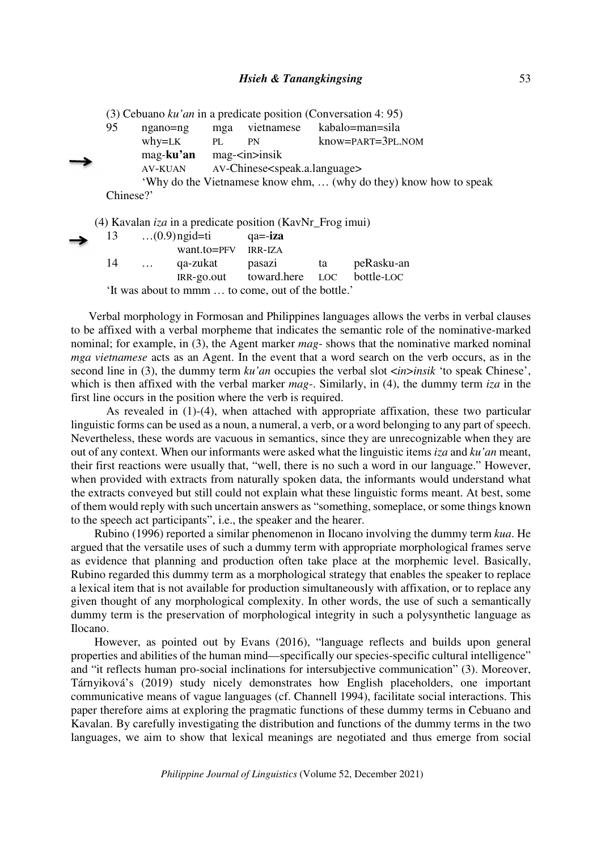|           |                |     |                                                  | (3) Cebuano $ku'an$ in a predicate position (Conversation 4: 95)  |
|-----------|----------------|-----|--------------------------------------------------|-------------------------------------------------------------------|
| 95        | ngano=ng       | mga | vietnamese                                       | kabalo=man=sila                                                   |
|           | why=LK         | PL  | PN                                               | $know = PART = 3PL. NOM$                                          |
|           | mag-ku'an      |     | $mag$ - $\langle$ in $>$ insik                   |                                                                   |
|           | <b>AV-KUAN</b> |     | AV-Chinese <speak.a.language></speak.a.language> |                                                                   |
|           |                |     |                                                  | 'Why do the Vietnamese know ehm,  (why do they) know how to speak |
| Chinese?' |                |     |                                                  |                                                                   |
|           |                |     |                                                  |                                                                   |

(4) Kavalan *iza* in a predicate position (KavNr\_Frog imui)

| → | 13 |          | $\dots(0.9)$ ngid=ti                               | $qa = -iza$                           |            |
|---|----|----------|----------------------------------------------------|---------------------------------------|------------|
|   |    |          | $want_to = PFV$ $IRR-IZA$                          |                                       |            |
|   | 14 | $\cdots$ | qa-zukat                                           | pasazi ta                             | peRasku-an |
|   |    |          |                                                    | IRR-go.out toward.here LOC bottle-LOC |            |
|   |    |          | 'It was about to mmm  to come, out of the bottle.' |                                       |            |

Verbal morphology in Formosan and Philippines languages allows the verbs in verbal clauses to be affixed with a verbal morpheme that indicates the semantic role of the nominative-marked nominal; for example, in (3), the Agent marker *mag*- shows that the nominative marked nominal *mga vietnamese* acts as an Agent. In the event that a word search on the verb occurs, as in the second line in (3), the dummy term *ku'an* occupies the verbal slot <*in*>*insik* 'to speak Chinese', which is then affixed with the verbal marker *mag*-. Similarly, in (4), the dummy term *iza* in the first line occurs in the position where the verb is required.

 As revealed in (1)-(4), when attached with appropriate affixation, these two particular linguistic forms can be used as a noun, a numeral, a verb, or a word belonging to any part of speech. Nevertheless, these words are vacuous in semantics, since they are unrecognizable when they are out of any context. When our informants were asked what the linguistic items *iza* and *ku'an* meant, their first reactions were usually that, "well, there is no such a word in our language." However, when provided with extracts from naturally spoken data, the informants would understand what the extracts conveyed but still could not explain what these linguistic forms meant. At best, some of them would reply with such uncertain answers as "something, someplace, or some things known to the speech act participants", i.e., the speaker and the hearer.

Rubino (1996) reported a similar phenomenon in Ilocano involving the dummy term *kua*. He argued that the versatile uses of such a dummy term with appropriate morphological frames serve as evidence that planning and production often take place at the morphemic level. Basically, Rubino regarded this dummy term as a morphological strategy that enables the speaker to replace a lexical item that is not available for production simultaneously with affixation, or to replace any given thought of any morphological complexity. In other words, the use of such a semantically dummy term is the preservation of morphological integrity in such a polysynthetic language as Ilocano.

However, as pointed out by Evans (2016), "language reflects and builds upon general properties and abilities of the human mind—specifically our species-specific cultural intelligence" and "it reflects human pro-social inclinations for intersubjective communication" (3). Moreover, Tárnyiková's (2019) study nicely demonstrates how English placeholders, one important communicative means of vague languages (cf. Channell 1994), facilitate social interactions. This paper therefore aims at exploring the pragmatic functions of these dummy terms in Cebuano and Kavalan. By carefully investigating the distribution and functions of the dummy terms in the two languages, we aim to show that lexical meanings are negotiated and thus emerge from social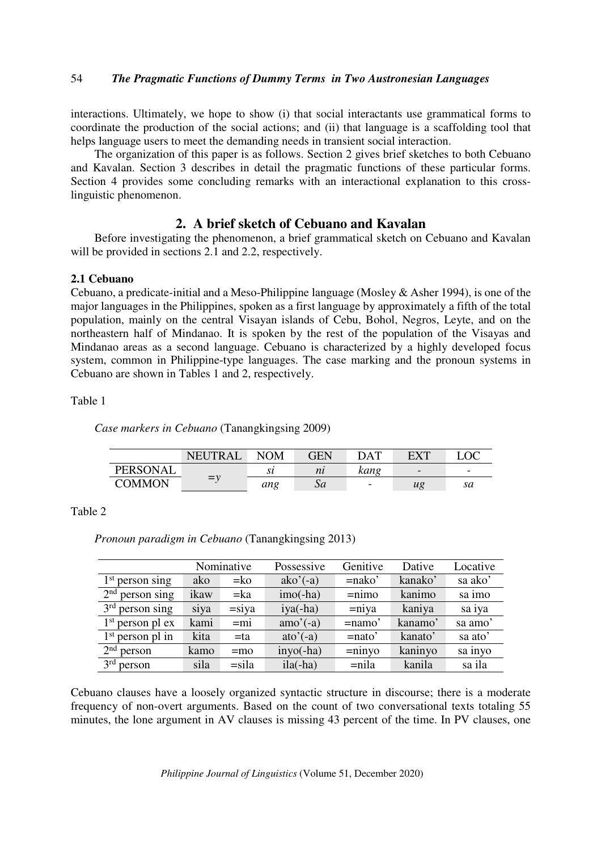interactions. Ultimately, we hope to show (i) that social interactants use grammatical forms to coordinate the production of the social actions; and (ii) that language is a scaffolding tool that helps language users to meet the demanding needs in transient social interaction.

The organization of this paper is as follows. Section 2 gives brief sketches to both Cebuano and Kavalan. Section 3 describes in detail the pragmatic functions of these particular forms. Section 4 provides some concluding remarks with an interactional explanation to this crosslinguistic phenomenon.

# **2. A brief sketch of Cebuano and Kavalan**

Before investigating the phenomenon, a brief grammatical sketch on Cebuano and Kavalan will be provided in sections 2.1 and 2.2, respectively.

# **2.1 Cebuano**

Cebuano, a predicate-initial and a Meso-Philippine language (Mosley & Asher 1994), is one of the major languages in the Philippines, spoken as a first language by approximately a fifth of the total population, mainly on the central Visayan islands of Cebu, Bohol, Negros, Leyte, and on the northeastern half of Mindanao. It is spoken by the rest of the population of the Visayas and Mindanao areas as a second language. Cebuano is characterized by a highly developed focus system, common in Philippine-type languages. The case marking and the pronoun systems in Cebuano are shown in Tables 1 and 2, respectively.

# Table 1

*Case markers in Cebuano* (Tanangkingsing 2009)

|                 | <b>NEUTRAL</b> | NOM | GEN | DAT                      | <b>FXT</b>               |                          |
|-----------------|----------------|-----|-----|--------------------------|--------------------------|--------------------------|
| <b>PERSONAL</b> |                | sı  | nı  | kang                     | $\overline{\phantom{0}}$ | $\overline{\phantom{a}}$ |
| <b>COMMON</b>   | $v = v$        | ang | Sa  | $\overline{\phantom{a}}$ | ug                       | sa                       |

### Table 2

*Pronoun paradigm in Cebuano* (Tanangkingsing 2013)

|                           | Nominative |          | Possessive  | Genitive  | Dative  | Locative |
|---------------------------|------------|----------|-------------|-----------|---------|----------|
| $1st$ person sing         | ako        | $= k$    | $ako'(-a)$  | $=$ nako' | kanako' | sa ako'  |
| $2nd$ person sing         | ikaw       | $=ka$    | $imo(-ha)$  | $=$ nimo  | kanimo  | sa imo   |
| $3rd$ person sing         | siya       | $=$ siya | $iya(-ha)$  | $=$ niya  | kaniya  | sa iya   |
| $1st$ person pl ex        | kami       | $=$ mi   | $amo'(-a)$  | $=$ namo' | kanamo' | sa amo'  |
| $1st$ person pl in        | kita       | $=$ ta   | $ato'(-a)$  | $=$ nato' | kanato' | sa ato'  |
| 2 <sup>nd</sup><br>person | kamo       | $=$ mo   | $inyo(-ha)$ | $=$ ninyo | kaninyo | sa inyo  |
| $3rd$ person              | sila       | $=$ sila | $ila(-ha)$  | $=$ nila  | kanila  | sa ila   |

Cebuano clauses have a loosely organized syntactic structure in discourse; there is a moderate frequency of non-overt arguments. Based on the count of two conversational texts totaling 55 minutes, the lone argument in AV clauses is missing 43 percent of the time. In PV clauses, one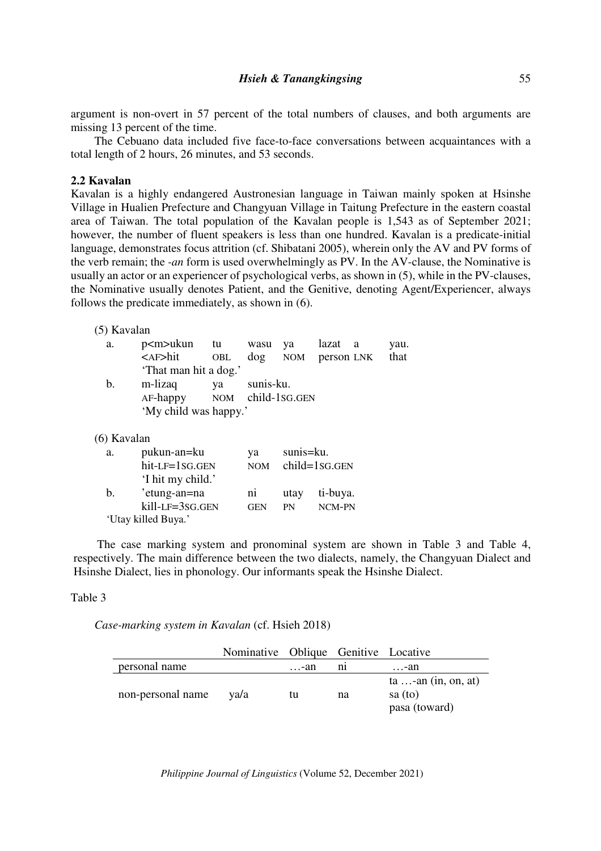### *Hsieh & Tanangkingsing*

argument is non-overt in 57 percent of the total numbers of clauses, and both arguments are missing 13 percent of the time.

The Cebuano data included five face-to-face conversations between acquaintances with a total length of 2 hours, 26 minutes, and 53 seconds.

### **2.2 Kavalan**

Kavalan is a highly endangered Austronesian language in Taiwan mainly spoken at Hsinshe Village in Hualien Prefecture and Changyuan Village in Taitung Prefecture in the eastern coastal area of Taiwan. The total population of the Kavalan people is 1,543 as of September 2021; however, the number of fluent speakers is less than one hundred. Kavalan is a predicate-initial language, demonstrates focus attrition (cf. Shibatani 2005), wherein only the AV and PV forms of the verb remain; the *-an* form is used overwhelmingly as PV. In the AV-clause, the Nominative is usually an actor or an experiencer of psychological verbs, as shown in (5), while in the PV-clauses, the Nominative usually denotes Patient, and the Genitive, denoting Agent/Experiencer, always follows the predicate immediately, as shown in (6).

|  | $(5)$ Kavalan |
|--|---------------|
|--|---------------|

| a.      | p <m>ukun tu wasu ya lazat a</m>      |     |           |                    |  | yau. |
|---------|---------------------------------------|-----|-----------|--------------------|--|------|
|         | <af>hit</af>                          | OBL |           | dog NOM person LNK |  | that |
|         | 'That man hit a dog.'                 |     |           |                    |  |      |
| $b_{1}$ | m-lizaq<br>AF-happy NOM child-1SG.GEN | ya  | sunis-ku. |                    |  |      |
|         | 'My child was happy.'                 |     |           |                    |  |      |

(6) Kavalan

| a.             | pukun-an=ku         | va             | sunis=ku. |                   |
|----------------|---------------------|----------------|-----------|-------------------|
|                | hit-LF=1SG.GEN      | <b>NOM</b>     |           | $child = 1SG.GEN$ |
|                | 'I hit my child.'   |                |           |                   |
| $\mathbf{b}$ . | 'etung-an=na        | n <sub>1</sub> | utay      | ti-buya.          |
|                | kill-LF=3SG.GEN     | <b>GEN</b>     | PN        | NCM-PN            |
|                | 'Utay killed Buya.' |                |           |                   |

The case marking system and pronominal system are shown in Table 3 and Table 4, respectively. The main difference between the two dialects, namely, the Changyuan Dialect and Hsinshe Dialect, lies in phonology. Our informants speak the Hsinshe Dialect.

## Table 3

*Case-marking system in Kavalan* (cf. Hsieh 2018)

|                   | Nominative Oblique Genitive Locative |      |         |                                                        |
|-------------------|--------------------------------------|------|---------|--------------------------------------------------------|
| personal name     |                                      | …-an | $n_{1}$ | …-an                                                   |
| non-personal name | va/a                                 | tu   | na      | $ta \dots$ -an (in, on, at)<br>sa(to)<br>pasa (toward) |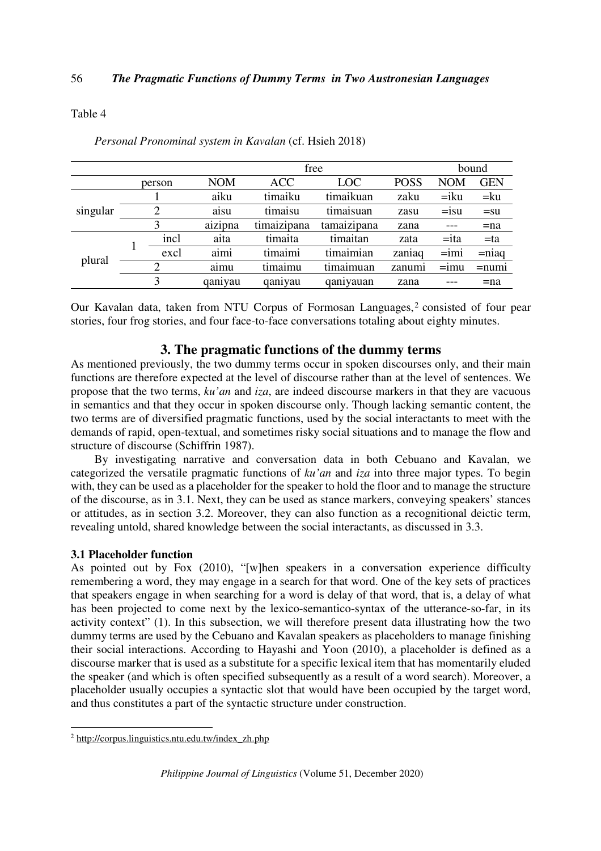# Table 4

|      |            |             |             |             |            | bound      |
|------|------------|-------------|-------------|-------------|------------|------------|
|      | <b>NOM</b> | <b>ACC</b>  | <b>LOC</b>  | <b>POSS</b> | <b>NOM</b> | <b>GEN</b> |
|      | aiku       | timaiku     | timaikuan   | zaku        | $=$ iku    | $=$ ku     |
| 2    | aisu       | timaisu     | timaisuan   | zasu        | $=15u$     | $=$ su     |
| 3    | aizipna    | timaizipana | tamaizipana | zana        | $- - -$    | $=$ na     |
| incl | aita       | timaita     | timaitan    | zata        | $=$ ita    | $= ta$     |
| excl | aimi       | timaimi     | timaimian   | zaniag      | $= imi$    | $=$ niaq   |
| 2    | aimu       | timaimu     | timaimuan   | zanumi      | $=$ 1mu    | $=$ num    |
| 3    | qaniyau    | qaniyau     | qaniyauan   | zana        | ---        | $=$ na     |
|      | person     |             |             | free        |            |            |

*Personal Pronominal system in Kavalan* (cf. Hsieh 2018)

Our Kavalan data, taken from NTU Corpus of Formosan Languages,<sup>2</sup> consisted of four pear stories, four frog stories, and four face-to-face conversations totaling about eighty minutes.

# **3. The pragmatic functions of the dummy terms**

As mentioned previously, the two dummy terms occur in spoken discourses only, and their main functions are therefore expected at the level of discourse rather than at the level of sentences. We propose that the two terms, *ku'an* and *iza*, are indeed discourse markers in that they are vacuous in semantics and that they occur in spoken discourse only. Though lacking semantic content, the two terms are of diversified pragmatic functions, used by the social interactants to meet with the demands of rapid, open-textual, and sometimes risky social situations and to manage the flow and structure of discourse (Schiffrin 1987).

By investigating narrative and conversation data in both Cebuano and Kavalan, we categorized the versatile pragmatic functions of *ku'an* and *iza* into three major types. To begin with, they can be used as a placeholder for the speaker to hold the floor and to manage the structure of the discourse, as in 3.1. Next, they can be used as stance markers, conveying speakers' stances or attitudes, as in section 3.2. Moreover, they can also function as a recognitional deictic term, revealing untold, shared knowledge between the social interactants, as discussed in 3.3.

# **3.1 Placeholder function**

As pointed out by Fox (2010), "[w]hen speakers in a conversation experience difficulty remembering a word, they may engage in a search for that word. One of the key sets of practices that speakers engage in when searching for a word is delay of that word, that is, a delay of what has been projected to come next by the lexico-semantico-syntax of the utterance-so-far, in its activity context" (1). In this subsection, we will therefore present data illustrating how the two dummy terms are used by the Cebuano and Kavalan speakers as placeholders to manage finishing their social interactions. According to Hayashi and Yoon (2010), a placeholder is defined as a discourse marker that is used as a substitute for a specific lexical item that has momentarily eluded the speaker (and which is often specified subsequently as a result of a word search). Moreover, a placeholder usually occupies a syntactic slot that would have been occupied by the target word, and thus constitutes a part of the syntactic structure under construction.

 2 http://corpus.linguistics.ntu.edu.tw/index\_zh.php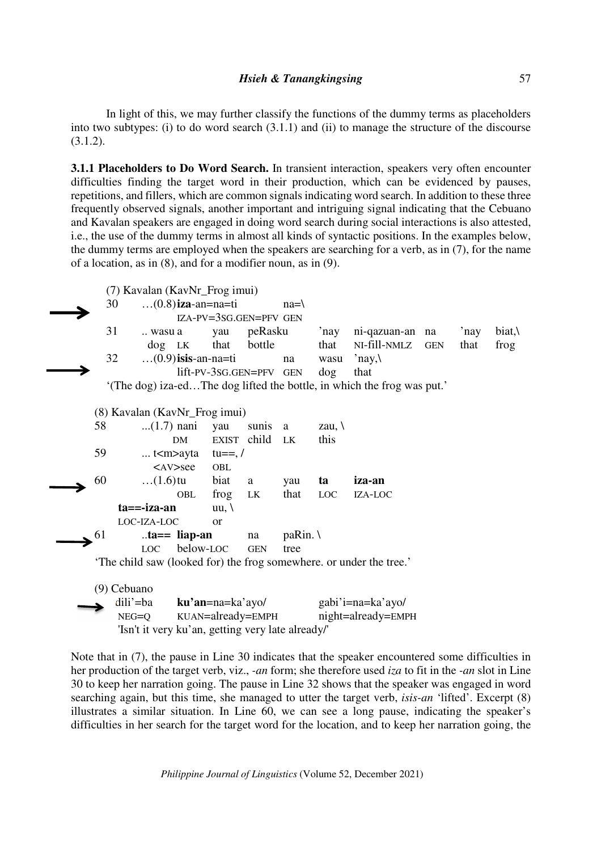In light of this, we may further classify the functions of the dummy terms as placeholders into two subtypes: (i) to do word search (3.1.1) and (ii) to manage the structure of the discourse (3.1.2).

**3.1.1 Placeholders to Do Word Search.** In transient interaction, speakers very often encounter difficulties finding the target word in their production, which can be evidenced by pauses, repetitions, and fillers, which are common signals indicating word search. In addition to these three frequently observed signals, another important and intriguing signal indicating that the Cebuano and Kavalan speakers are engaged in doing word search during social interactions is also attested, i.e., the use of the dummy terms in almost all kinds of syntactic positions. In the examples below, the dummy terms are employed when the speakers are searching for a verb, as in (7), for the name of a location, as in (8), and for a modifier noun, as in (9).



Note that in (7), the pause in Line 30 indicates that the speaker encountered some difficulties in her production of the target verb, viz., *-an* form; she therefore used *iza* to fit in the *-an* slot in Line 30 to keep her narration going. The pause in Line 32 shows that the speaker was engaged in word searching again, but this time, she managed to utter the target verb, *isis-an* 'lifted'. Excerpt (8) illustrates a similar situation. In Line 60, we can see a long pause, indicating the speaker's difficulties in her search for the target word for the location, and to keep her narration going, the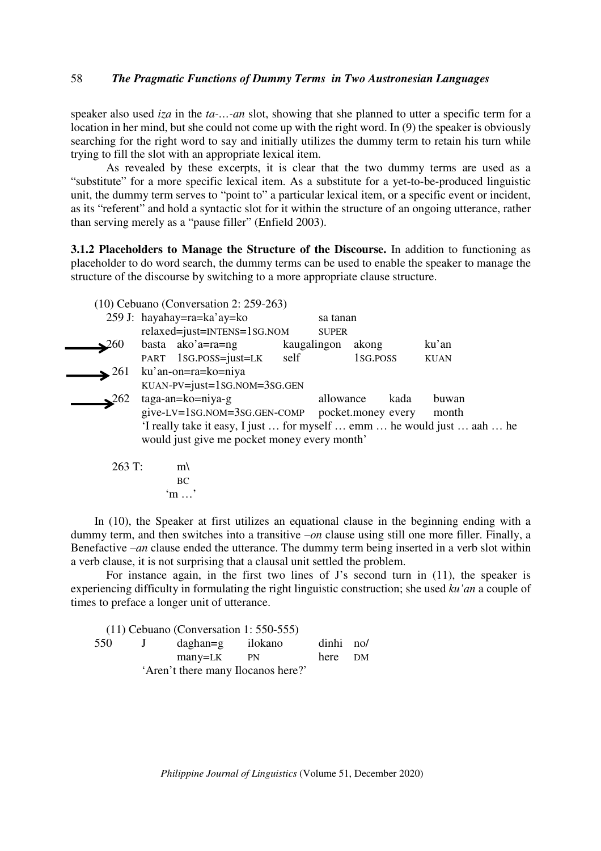speaker also used *iza* in the *ta-…-an* slot, showing that she planned to utter a specific term for a location in her mind, but she could not come up with the right word. In (9) the speaker is obviously searching for the right word to say and initially utilizes the dummy term to retain his turn while trying to fill the slot with an appropriate lexical item.

 As revealed by these excerpts, it is clear that the two dummy terms are used as a "substitute" for a more specific lexical item. As a substitute for a yet-to-be-produced linguistic unit, the dummy term serves to "point to" a particular lexical item, or a specific event or incident, as its "referent" and hold a syntactic slot for it within the structure of an ongoing utterance, rather than serving merely as a "pause filler" (Enfield 2003).

**3.1.2 Placeholders to Manage the Structure of the Discourse.** In addition to functioning as placeholder to do word search, the dummy terms can be used to enable the speaker to manage the structure of the discourse by switching to a more appropriate clause structure.

|                         | $(10)$ Cebuano (Conversation 2: 259-263)        |              |          |                                                                         |
|-------------------------|-------------------------------------------------|--------------|----------|-------------------------------------------------------------------------|
|                         | 259 J: hayahay=ra=ka'ay=ko                      | sa tanan     |          |                                                                         |
|                         | relaxed=just=INTENS=1SG.NOM                     | <b>SUPER</b> |          |                                                                         |
| $\mathbf{\Sigma}^{260}$ | basta ako'a=ra=ng                               | kaugalingon  | akong    | ku'an                                                                   |
|                         | PART 1SG.POSS=just=LK self                      |              | 1sg.poss | <b>KUAN</b>                                                             |
| $\geq 261$              | ku'an-on=ra=ko=niya                             |              |          |                                                                         |
|                         | $KUAN-PV=just=1SG. NOM=3SG.GEN$                 |              |          |                                                                         |
| $\geq 262$              | $taga-an = ko = niya-g$                         | allowance    | kada     | buwan                                                                   |
|                         | give-LV=1sG.NOM=3sG.GEN-COMP pocket.money every |              |          | month                                                                   |
|                         |                                                 |              |          | 'I really take it easy, I just  for myself  emm  he would just  aah  he |
|                         | would just give me pocket money every month'    |              |          |                                                                         |
|                         |                                                 |              |          |                                                                         |

263 T: 
$$
m \setminus BC
$$
  
"m..."

In (10), the Speaker at first utilizes an equational clause in the beginning ending with a dummy term, and then switches into a transitive –*on* clause using still one more filler. Finally, a Benefactive –*an* clause ended the utterance. The dummy term being inserted in a verb slot within a verb clause, it is not surprising that a clausal unit settled the problem.

 For instance again, in the first two lines of J's second turn in (11), the speaker is experiencing difficulty in formulating the right linguistic construction; she used *ku'an* a couple of times to preface a longer unit of utterance.

|     | $(11)$ Cebuano (Conversation 1: 550-555) |           |  |
|-----|------------------------------------------|-----------|--|
| 550 | J daghan=g ilokano                       | dinhi no/ |  |
|     | many=LK PN                               | here DM   |  |
|     | 'Aren't there many Ilocanos here?'       |           |  |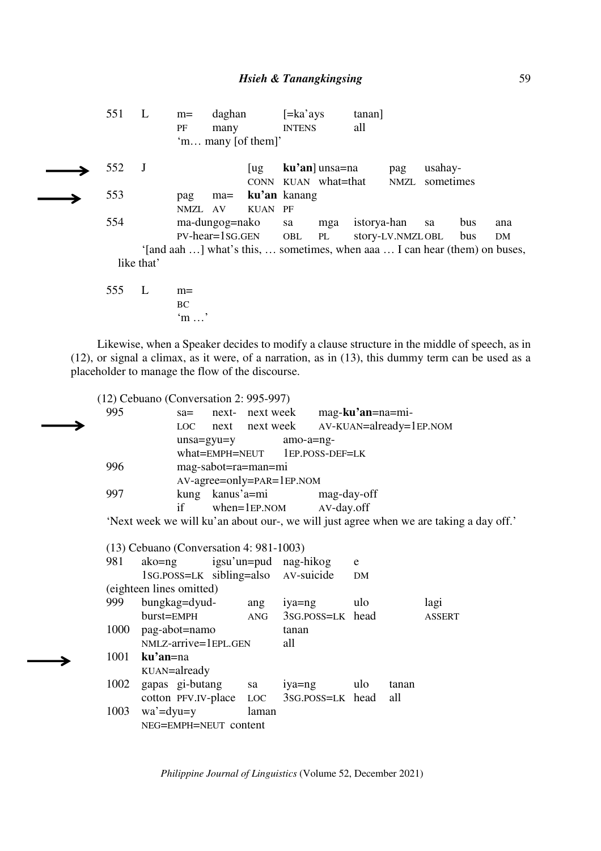551 L m= daghan [=ka'ays tanan] PF many INTENS all 'm… many [of them]' 552 J [ug **ku'an**] unsa=na pag usahay- CONN KUAN what=that NMZL sometimes 553 pag ma= **ku'an** kanang NMZL AV KUAN PF 554 ma-dungog=nako sa mga istorya-han sa bus ana PV-hear=1SG.GEN OBL PL story-LV.NMZLOBL bus DM '[and aah …] what's this, … sometimes, when aaa … I can hear (them) on buses, like that' 555 L m= **BC** 

'm …'

Likewise, when a Speaker decides to modify a clause structure in the middle of speech, as in (12), or signal a climax, as it were, of a narration, as in (13), this dummy term can be used as a placeholder to manage the flow of the discourse.

(12) Cebuano (Conversation 2: 995-997) 995 sa= next- next week mag-**ku'an**=na=mi- LOC next next week AV-KUAN=already=1EP.NOM unsa=gyu=y amo-a=ng what=EMPH=NEUT 1EP.POSS-DEF=LK 996 mag-sabot=ra=man=mi AV-agree=only=PAR=1EP.NOM 997 kung kanus'a=mi mag-day-off if when=1EP.NOM AV-day.off 'Next week we will ku'an about our-, we will just agree when we are taking a day off.' (13) Cebuano (Conversation 4: 981-1003) 981 ako=ng igsu'un=pud nag-hikog e 1SG.POSS=LK sibling=also AV-suicide DM (eighteen lines omitted) 999 bungkag=dyud- ang iya=ng ulo lagi burst=EMPH ANG 3SG.POSS=LK head ASSERT 1000 pag-abot=namo tanan NMLZ-arrive=1EPL.GEN all 1001 **ku'an**=na KUAN=already 1002 gapas gi-butang sa iya=ng ulo tanan cotton PFV.IV-place LOC 3SG.POSS=LK head all 1003 wa'=dyu=y laman NEG=EMPH=NEUT content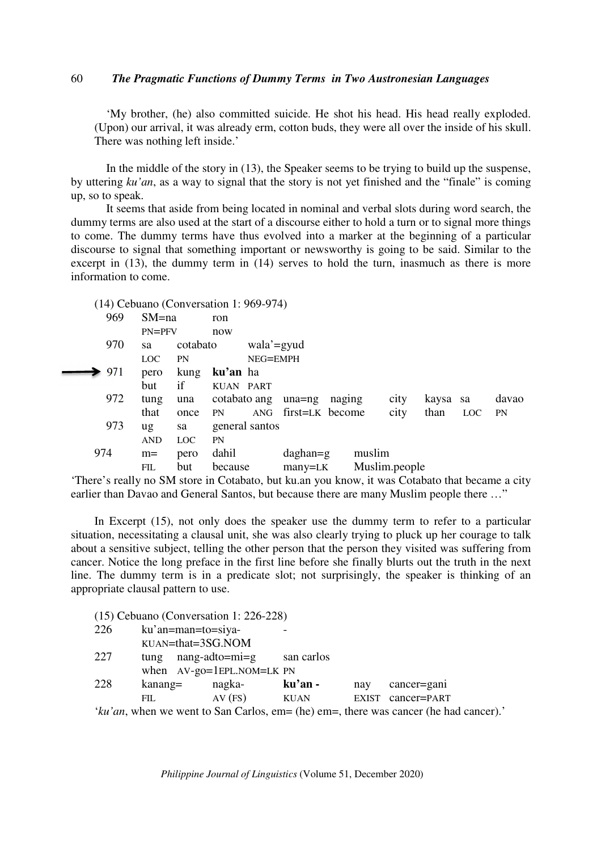'My brother, (he) also committed suicide. He shot his head. His head really exploded. (Upon) our arrival, it was already erm, cotton buds, they were all over the inside of his skull. There was nothing left inside.'

 In the middle of the story in (13), the Speaker seems to be trying to build up the suspense, by uttering *ku'an*, as a way to signal that the story is not yet finished and the "finale" is coming up, so to speak.

 It seems that aside from being located in nominal and verbal slots during word search, the dummy terms are also used at the start of a discourse either to hold a turn or to signal more things to come. The dummy terms have thus evolved into a marker at the beginning of a particular discourse to signal that something important or newsworthy is going to be said. Similar to the excerpt in  $(13)$ , the dummy term in  $(14)$  serves to hold the turn, inasmuch as there is more information to come.

(14) Cebuano (Conversation 1: 969-974)

| 969 | $SM = na$        |            | ron          |                |                 |        |               |      |          |            |           |
|-----|------------------|------------|--------------|----------------|-----------------|--------|---------------|------|----------|------------|-----------|
|     | $PN = PFV$       |            | now          |                |                 |        |               |      |          |            |           |
| 970 | sa               | cotabato   |              | wala'=gyud     |                 |        |               |      |          |            |           |
|     | LOC <sup>1</sup> | <b>PN</b>  |              | NEG=EMPH       |                 |        |               |      |          |            |           |
| 971 | pero             | kung       | ku'an ha     |                |                 |        |               |      |          |            |           |
|     | but              | if         | KUAN PART    |                |                 |        |               |      |          |            |           |
| 972 | tung             | una        | cotabato ang |                | una=ng          | naging |               | city | kaysa sa |            | davao     |
|     | that             | once       | <b>PN</b>    | ANG            | first=LK become |        |               | city | than     | <b>LOC</b> | <b>PN</b> |
| 973 | ug               | sa         |              | general santos |                 |        |               |      |          |            |           |
|     | <b>AND</b>       | <b>LOC</b> | <b>PN</b>    |                |                 |        |               |      |          |            |           |
| 974 | $m=$             | pero       | dahil        |                | $d$ aghan=g     |        | muslim        |      |          |            |           |
|     | <b>FIL</b>       | but        | because      |                | $many=LK$       |        | Muslim.people |      |          |            |           |

'There's really no SM store in Cotabato, but ku.an you know, it was Cotabato that became a city earlier than Davao and General Santos, but because there are many Muslim people there ..."

In Excerpt (15), not only does the speaker use the dummy term to refer to a particular situation, necessitating a clausal unit, she was also clearly trying to pluck up her courage to talk about a sensitive subject, telling the other person that the person they visited was suffering from cancer. Notice the long preface in the first line before she finally blurts out the truth in the next line. The dummy term is in a predicate slot; not surprisingly, the speaker is thinking of an appropriate clausal pattern to use.

(15) Cebuano (Conversation 1: 226-228) 226 ku'an=man=to=siya-KUAN=that=3SG.NOM 227 tung nang-adto=mi=g san carlos when AV-go=1EPL.NOM=LK PN 228 kanang= nagka- **ku'an -** nay cancer=gani FIL AV (FS) KUAN EXIST CANCERT=PART '*ku'an*, when we went to San Carlos, em= (he) em=, there was cancer (he had cancer).'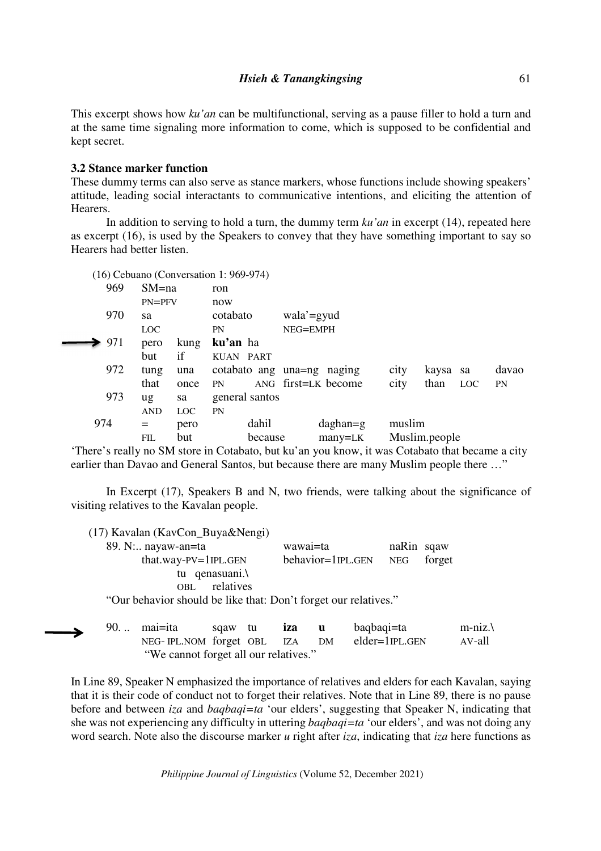This excerpt shows how *ku'an* can be multifunctional, serving as a pause filler to hold a turn and at the same time signaling more information to come, which is supposed to be confidential and kept secret.

# **3.2 Stance marker function**

These dummy terms can also serve as stance markers, whose functions include showing speakers' attitude, leading social interactants to communicative intentions, and eliciting the attention of Hearers.

 In addition to serving to hold a turn, the dummy term *ku'an* in excerpt (14), repeated here as excerpt (16), is used by the Speakers to convey that they have something important to say so Hearers had better listen.

(16) Cebuano (Conversation 1: 969-974)

| 969 | $SM = na$  |            | ron            |         |            |                            |        |               |            |       |
|-----|------------|------------|----------------|---------|------------|----------------------------|--------|---------------|------------|-------|
|     | $PN = PFV$ |            | now            |         |            |                            |        |               |            |       |
| 970 | sa         |            | cotabato       |         | wala'=gyud |                            |        |               |            |       |
|     | LOC        |            | PN             |         | NEG=EMPH   |                            |        |               |            |       |
| 971 | pero       | kung       | ku'an ha       |         |            |                            |        |               |            |       |
|     | but        | if         | KUAN PART      |         |            |                            |        |               |            |       |
| 972 | tung       | una        |                |         |            | cotabato ang una=ng naging | city   | kaysa sa      |            | davao |
|     | that       | once       | <b>PN</b>      |         |            | ANG first=LK become        | city   | than          | <b>LOC</b> | PN    |
| 973 | ug         | sa         | general santos |         |            |                            |        |               |            |       |
|     | <b>AND</b> | <b>LOC</b> | <b>PN</b>      |         |            |                            |        |               |            |       |
| 974 | $=$        | pero       |                | dahil   |            | $d$ aghan=g                | muslim |               |            |       |
|     | FIL        | but        |                | because |            | $many=LK$                  |        | Muslim.people |            |       |

'There's really no SM store in Cotabato, but ku'an you know, it was Cotabato that became a city earlier than Davao and General Santos, but because there are many Muslim people there …"

In Excerpt (17), Speakers B and N, two friends, were talking about the significance of visiting relatives to the Kavalan people.

(17) Kavalan (KavCon\_Buya&Nengi) 89. N:.. nayaw-an=ta wawai=ta naRin sqaw that.way-PV=1IPL.GEN behavior=1IPL.GEN NEG forget tu qenasuani.\ OBL relatives "Our behavior should be like that: Don't forget our relatives."

 90. .. mai=ita sqaw tu **iza u** baqbaqi=ta m-niz.\ NEG- IPL.NOM forget OBL IZA DM elder=1IPL.GEN AV-all "We cannot forget all our relatives."

In Line 89, Speaker N emphasized the importance of relatives and elders for each Kavalan, saying that it is their code of conduct not to forget their relatives. Note that in Line 89, there is no pause before and between *iza* and *baqbaqi=ta* 'our elders', suggesting that Speaker N, indicating that she was not experiencing any difficulty in uttering *baqbaqi=ta* 'our elders', and was not doing any word search. Note also the discourse marker *u* right after *iza*, indicating that *iza* here functions as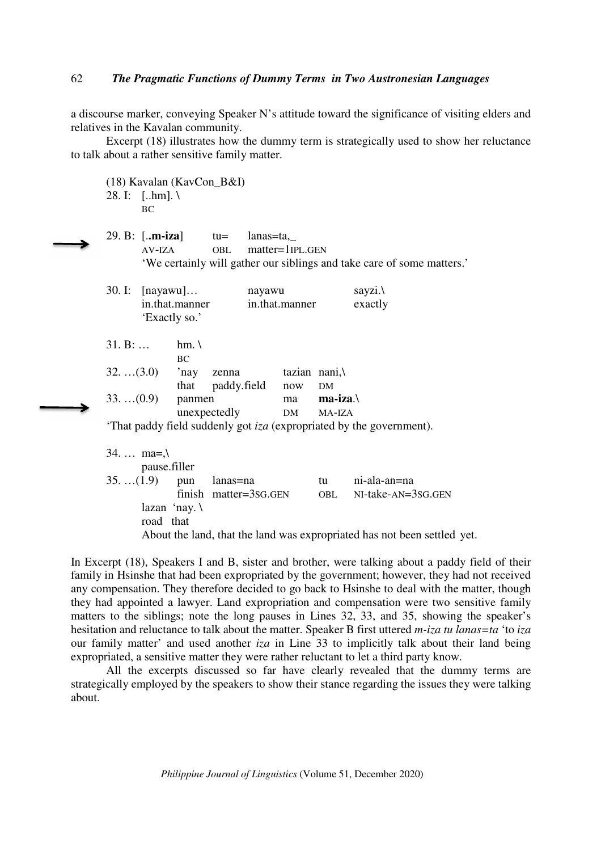a discourse marker, conveying Speaker N's attitude toward the significance of visiting elders and relatives in the Kavalan community.

 Excerpt (18) illustrates how the dummy term is strategically used to show her reluctance to talk about a rather sensitive family matter.

 (18) Kavalan (KavCon\_B&I) 28. I: [..hm]. \ BC 29. B: [.**.m-iza**] tu= lanas=ta,\_ AV-IZA OBL matter=1IPL.GEN 'We certainly will gather our siblings and take care of some matters.' 30. I: [nayawu]… nayawu sayzi.\ in.that.manner in.that.manner exactly 'Exactly so.'  $31. B: ...$  hm. \ BC BC  $32. \ldots (3.0)$  'nay zenna tazian nani,\ that paddy.field now DM 33. …(0.9) panmen ma **ma-iza**.\ unexpectedly DM MA-IZA 'That paddy field suddenly got *iza* (expropriated by the government). 34. … ma=,\ pause.filler 35. …(1.9) pun lanas=na tu ni-ala-an=na finish matter=3SG.GEN OBL NI-take-AN=3SG.GEN lazan 'nay. \ road that About the land, that the land was expropriated has not been settled yet.

In Excerpt (18), Speakers I and B, sister and brother, were talking about a paddy field of their family in Hsinshe that had been expropriated by the government; however, they had not received any compensation. They therefore decided to go back to Hsinshe to deal with the matter, though they had appointed a lawyer. Land expropriation and compensation were two sensitive family matters to the siblings; note the long pauses in Lines 32, 33, and 35, showing the speaker's hesitation and reluctance to talk about the matter. Speaker B first uttered *m-iza tu lanas=ta* 'to *iza* our family matter' and used another *iza* in Line 33 to implicitly talk about their land being expropriated, a sensitive matter they were rather reluctant to let a third party know.

 All the excerpts discussed so far have clearly revealed that the dummy terms are strategically employed by the speakers to show their stance regarding the issues they were talking about.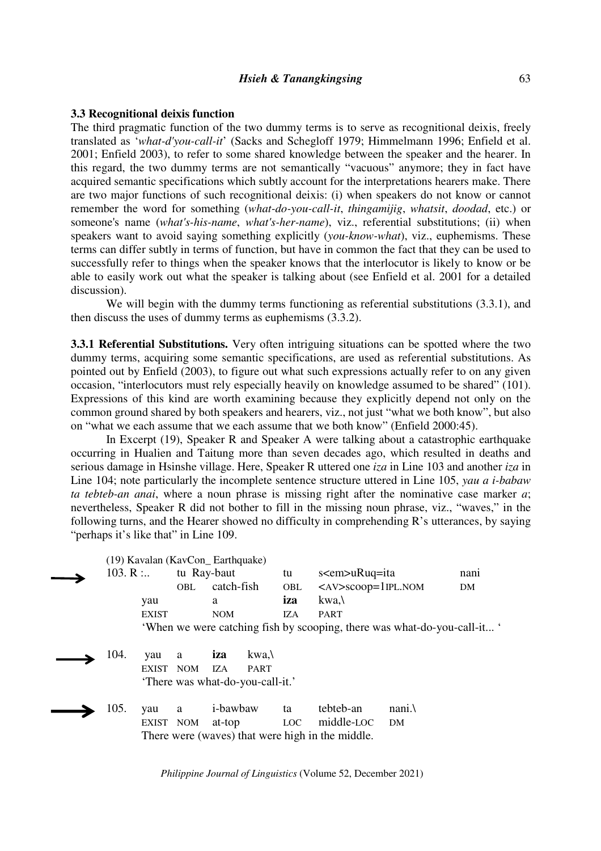## *Hsieh & Tanangkingsing*

## **3.3 Recognitional deixis function**

The third pragmatic function of the two dummy terms is to serve as recognitional deixis, freely translated as '*what-d'you-call-it*' (Sacks and Schegloff 1979; Himmelmann 1996; Enfield et al. 2001; Enfield 2003), to refer to some shared knowledge between the speaker and the hearer. In this regard, the two dummy terms are not semantically "vacuous" anymore; they in fact have acquired semantic specifications which subtly account for the interpretations hearers make. There are two major functions of such recognitional deixis: (i) when speakers do not know or cannot remember the word for something (*what-do-you-call-it*, *thingamijig*, *whatsit*, *doodad*, etc.) or someone's name (*what's-his-name*, *what's-her-name*), viz., referential substitutions; (ii) when speakers want to avoid saying something explicitly (*you-know-what*), viz., euphemisms. These terms can differ subtly in terms of function, but have in common the fact that they can be used to successfully refer to things when the speaker knows that the interlocutor is likely to know or be able to easily work out what the speaker is talking about (see Enfield et al. 2001 for a detailed discussion).

We will begin with the dummy terms functioning as referential substitutions  $(3.3.1)$ , and then discuss the uses of dummy terms as euphemisms (3.3.2).

**3.3.1 Referential Substitutions.** Very often intriguing situations can be spotted where the two dummy terms, acquiring some semantic specifications, are used as referential substitutions. As pointed out by Enfield (2003), to figure out what such expressions actually refer to on any given occasion, "interlocutors must rely especially heavily on knowledge assumed to be shared" (101). Expressions of this kind are worth examining because they explicitly depend not only on the common ground shared by both speakers and hearers, viz., not just "what we both know", but also on "what we each assume that we each assume that we both know" (Enfield 2000:45).

 In Excerpt (19), Speaker R and Speaker A were talking about a catastrophic earthquake occurring in Hualien and Taitung more than seven decades ago, which resulted in deaths and serious damage in Hsinshe village. Here, Speaker R uttered one *iza* in Line 103 and another *iza* in Line 104; note particularly the incomplete sentence structure uttered in Line 105, *yau a i-babaw ta tebteb-an anai*, where a noun phrase is missing right after the nominative case marker *a*; nevertheless, Speaker R did not bother to fill in the missing noun phrase, viz., "waves," in the following turns, and the Hearer showed no difficulty in comprehending R's utterances, by saying "perhaps it's like that" in Line 109.

|          |              | (19) Kavalan (KavCon_Earthquake) |                  |                                  |                  |                                                  |                                                                          |      |
|----------|--------------|----------------------------------|------------------|----------------------------------|------------------|--------------------------------------------------|--------------------------------------------------------------------------|------|
| 103. R : |              | tu Ray-baut                      |                  |                                  | tu               | s <em>uRuq=ita</em>                              |                                                                          | nani |
|          |              | OBL.                             | catch-fish       |                                  | <b>OBL</b>       | $\langle$ AV>scoop=1IPL.NOM                      |                                                                          | DM   |
|          | yau          |                                  | a                |                                  | iza              | kwa.\                                            |                                                                          |      |
|          | <b>EXIST</b> |                                  | <b>NOM</b>       |                                  | IZA              | <b>PART</b>                                      |                                                                          |      |
|          |              |                                  |                  |                                  |                  |                                                  | 'When we were catching fish by scooping, there was what-do-you-call-it ' |      |
|          |              |                                  |                  |                                  |                  |                                                  |                                                                          |      |
| 104.     | yau          | a                                | iza              | $kwa, \lambda$                   |                  |                                                  |                                                                          |      |
|          | <b>EXIST</b> | NOM                              | IZA              | <b>PART</b>                      |                  |                                                  |                                                                          |      |
|          |              |                                  |                  | 'There was what-do-you-call-it.' |                  |                                                  |                                                                          |      |
|          |              |                                  |                  |                                  |                  |                                                  |                                                                          |      |
| 105.     | yau          | a                                | <i>i</i> -bawbaw |                                  | ta               | tebteb-an                                        | nani.                                                                    |      |
|          | EXIST NOM    |                                  | at-top           |                                  | LOC <sub>1</sub> | middle-LOC                                       | DM                                                                       |      |
|          |              |                                  |                  |                                  |                  | There were (waves) that were high in the middle. |                                                                          |      |
|          |              |                                  |                  |                                  |                  |                                                  |                                                                          |      |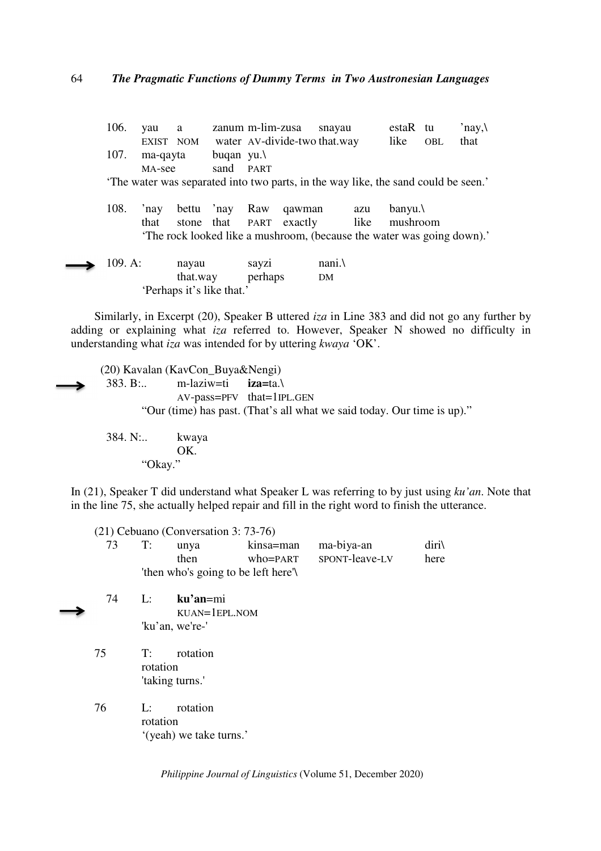| 106.    | vau             | a                         |                     | zanum m-lim-zusa |                                                                                   | snavau |      | estaR tu  |            | 'nay, $\lambda$ |
|---------|-----------------|---------------------------|---------------------|------------------|-----------------------------------------------------------------------------------|--------|------|-----------|------------|-----------------|
|         | EXIST NOM       |                           |                     |                  | water AV-divide-two that way                                                      |        |      | like      | <b>OBL</b> | that            |
| 107.    | ma-qayta        |                           | buqan yu. $\lambda$ |                  |                                                                                   |        |      |           |            |                 |
|         | MA-see          |                           | sand PART           |                  |                                                                                   |        |      |           |            |                 |
|         |                 |                           |                     |                  | The water was separated into two parts, in the way like, the sand could be seen.' |        |      |           |            |                 |
| 108.    | $^{\prime}$ nay | bettu 'nay                |                     | Raw              | qawman                                                                            |        | azu  | $b$ anyu. |            |                 |
|         | that            | stone that                |                     |                  | PART exactly                                                                      |        | like | mushroom  |            |                 |
|         |                 |                           |                     |                  | 'The rock looked like a mushroom, (because the water was going down).'            |        |      |           |            |                 |
| 109. A: |                 | nayau                     |                     | sayzi            |                                                                                   | nani.  |      |           |            |                 |
|         |                 | that.way                  |                     | perhaps          |                                                                                   | DM     |      |           |            |                 |
|         |                 | 'Perhaps it's like that.' |                     |                  |                                                                                   |        |      |           |            |                 |

Similarly, in Excerpt (20), Speaker B uttered *iza* in Line 383 and did not go any further by adding or explaining what *iza* referred to. However, Speaker N showed no difficulty in understanding what *iza* was intended for by uttering *kwaya* 'OK'.

(20) Kavalan (KavCon\_Buya&Nengi) 383. B:.. m-laziw=ti **iza=**ta.\ AV-pass=PFV that=1IPL.GEN "Our (time) has past. (That's all what we said today. Our time is up)."

 384. N:.. kwaya OK. "Okay."

In (21), Speaker T did understand what Speaker L was referring to by just using *ku'an*. Note that in the line 75, she actually helped repair and fill in the right word to finish the utterance.

|  | unva |                                     | kinsa=man ma-biya-an    | diri\ |
|--|------|-------------------------------------|-------------------------|-------|
|  | then |                                     | who=PART SPONT-leave-LV | here  |
|  |      | 'then who's going to be left here'\ |                         |       |

- 74 L: **ku'an**=mi KUAN=1EPL.NOM 'ku'an, we're-'
	- 75 T: rotation rotation 'taking turns.'
	- 76 L: rotation rotation '(yeah) we take turns.'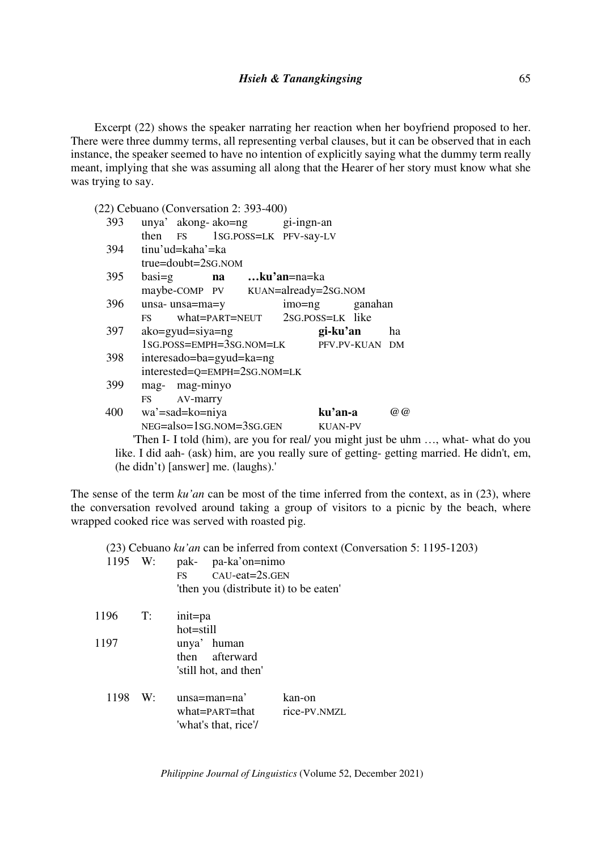Excerpt (22) shows the speaker narrating her reaction when her boyfriend proposed to her. There were three dummy terms, all representing verbal clauses, but it can be observed that in each instance, the speaker seemed to have no intention of explicitly saying what the dummy term really meant, implying that she was assuming all along that the Hearer of her story must know what she was trying to say.

(22) Cebuano (Conversation 2: 393-400)

| 393 |                                                                                      |                            |                              | unya' akong-ako=ng gi-ingn-an           |                |                |                   |
|-----|--------------------------------------------------------------------------------------|----------------------------|------------------------------|-----------------------------------------|----------------|----------------|-------------------|
|     |                                                                                      |                            |                              | then FS 1SG.POSS=LK PFV-say-LV          |                |                |                   |
| 394 |                                                                                      | tinu'ud=kaha'=ka           |                              |                                         |                |                |                   |
|     |                                                                                      | $true = double = 2SG. NOM$ |                              |                                         |                |                |                   |
| 395 | $basi = g$                                                                           |                            |                              | <b>na</b> ku'an=na=ka                   |                |                |                   |
|     |                                                                                      |                            |                              | maybe-COMP PV KUAN=already=2sG.NOM      |                |                |                   |
| 396 |                                                                                      | unsa- unsa=ma=y            |                              |                                         |                | imo=ng ganahan |                   |
|     |                                                                                      |                            |                              | FS what=PART=NEUT 2SG.POSS=LK like      |                |                |                   |
| 397 |                                                                                      | $ako = gyud = siya = ng$   |                              |                                         | gi-ku'an       |                | ha                |
|     |                                                                                      |                            |                              | 1SG.POSS=EMPH=3SG.NOM=LK PFV.PV-KUAN DM |                |                |                   |
| 398 |                                                                                      | interesado=ba=gyud=ka=ng   |                              |                                         |                |                |                   |
|     |                                                                                      |                            | interested=Q=EMPH=2sG.NOM=LK |                                         |                |                |                   |
| 399 |                                                                                      | mag- mag-minyo             |                              |                                         |                |                |                   |
|     |                                                                                      | FS AV-marry                |                              |                                         |                |                |                   |
| 400 |                                                                                      | wa'=sad=ko=niya            |                              |                                         | ku'an-a        |                | $\omega$ $\omega$ |
|     |                                                                                      |                            | $NEG=also=1SG.NOM=3SG.GEN$   |                                         | <b>KUAN-PV</b> |                |                   |
|     | $\text{Then} \text{I}$ $\text{I}$ told (him) are you for real you might just be upon |                            |                              |                                         |                |                |                   |

Then I- I told (him), are you for real/ you might just be uhm ..., what- what do you like. I did aah- (ask) him, are you really sure of getting- getting married. He didn't, em, (he didn't) [answer] me. (laughs).'

The sense of the term *ku'an* can be most of the time inferred from the context, as in (23), where the conversation revolved around taking a group of visitors to a picnic by the beach, where wrapped cooked rice was served with roasted pig.

|         |    |                                        | $(23)$ Cebuano ku'an can be inferred from context (Conversation 5: 1195-1203) |
|---------|----|----------------------------------------|-------------------------------------------------------------------------------|
| 1195 W: |    | pa-ka'on=nimo<br>pak-                  |                                                                               |
|         |    | $CAU$ -eat= $2s$ .GEN<br><b>FS</b>     |                                                                               |
|         |    | 'then you (distribute it) to be eaten' |                                                                               |
| 1196    | T: | init=pa                                |                                                                               |
|         |    | hot=still                              |                                                                               |
| 1197    |    | unya' human                            |                                                                               |
|         |    | then afterward                         |                                                                               |
|         |    | 'still hot, and then'                  |                                                                               |
| 1198    | W: | $unsa = man = na'$                     | kan-on                                                                        |
|         |    | what=PART=that                         | rice-PV.NMZL                                                                  |
|         |    | 'what's that, rice'/                   |                                                                               |
|         |    |                                        |                                                                               |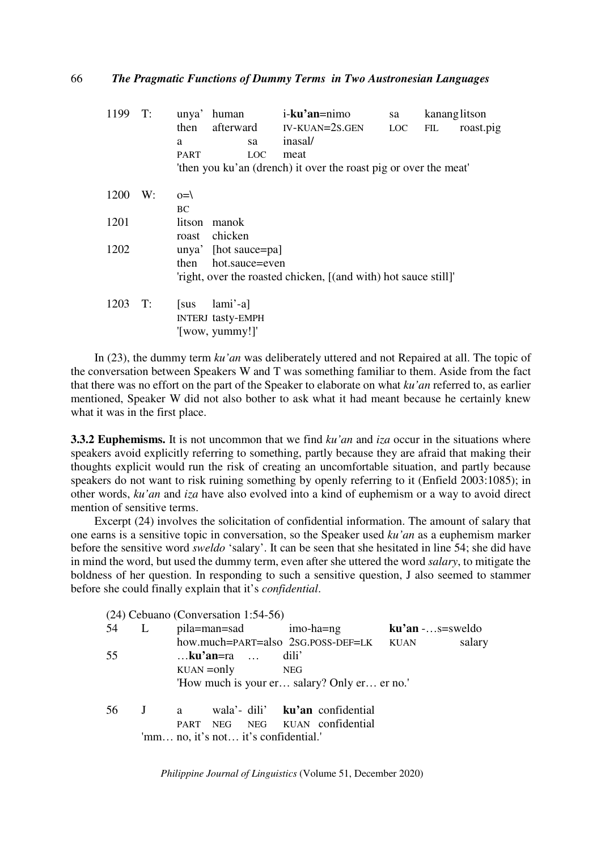| 1199 | T: | unya'        | human                    |                | i-ku'an=nimo                                                     | sa  | kananglitson |           |
|------|----|--------------|--------------------------|----------------|------------------------------------------------------------------|-----|--------------|-----------|
|      |    | then         | afterward                |                | IV-KUAN=2S.GEN                                                   | LOC | FIL          | roast.pig |
|      |    | a            |                          | sa             | inasal/                                                          |     |              |           |
|      |    | <b>PART</b>  |                          | <b>LOC</b>     | meat                                                             |     |              |           |
|      |    |              |                          |                | 'then you ku'an (drench) it over the roast pig or over the meat' |     |              |           |
| 1200 | W: | $O=\sqrt{2}$ |                          |                |                                                                  |     |              |           |
|      |    | <b>BC</b>    |                          |                |                                                                  |     |              |           |
| 1201 |    | litson       | manok                    |                |                                                                  |     |              |           |
|      |    | roast        | chicken                  |                |                                                                  |     |              |           |
| 1202 |    | unya'        | [hot sauce=pa]           |                |                                                                  |     |              |           |
|      |    | then         |                          | hot.sauce=even |                                                                  |     |              |           |
|      |    |              |                          |                | 'right, over the roasted chicken, [(and with) hot sauce still]'  |     |              |           |
| 1203 | T: | sus          | $lami'-al$               |                |                                                                  |     |              |           |
|      |    |              | <b>INTERJ tasty-EMPH</b> |                |                                                                  |     |              |           |
|      |    |              | '[wow, yummy!]'          |                |                                                                  |     |              |           |

In (23), the dummy term *ku'an* was deliberately uttered and not Repaired at all. The topic of the conversation between Speakers W and T was something familiar to them. Aside from the fact that there was no effort on the part of the Speaker to elaborate on what *ku'an* referred to, as earlier mentioned, Speaker W did not also bother to ask what it had meant because he certainly knew what it was in the first place.

**3.3.2 Euphemisms.** It is not uncommon that we find *ku'an* and *iza* occur in the situations where speakers avoid explicitly referring to something, partly because they are afraid that making their thoughts explicit would run the risk of creating an uncomfortable situation, and partly because speakers do not want to risk ruining something by openly referring to it (Enfield 2003:1085); in other words, *ku'an* and *iza* have also evolved into a kind of euphemism or a way to avoid direct mention of sensitive terms.

Excerpt (24) involves the solicitation of confidential information. The amount of salary that one earns is a sensitive topic in conversation, so the Speaker used *ku'an* as a euphemism marker before the sensitive word *sweldo* 'salary'. It can be seen that she hesitated in line 54; she did have in mind the word, but used the dummy term, even after she uttered the word *salary*, to mitigate the boldness of her question. In responding to such a sensitive question, J also seemed to stammer before she could finally explain that it's *confidential*.

|    |   |  | (24) Cebuano (Conversation 1:54-56)  |                                              |                   |        |
|----|---|--|--------------------------------------|----------------------------------------------|-------------------|--------|
| 54 | L |  | pila=man=sad imo-ha=ng               |                                              | $ku'an$ -s=sweldo |        |
|    |   |  |                                      | how.much=PART=also 2sG.POSS-DEF=LK KUAN      |                   | salary |
| 55 |   |  | $$ ku'an=ra $$ dili'                 |                                              |                   |        |
|    |   |  | $KUAN = only$ NEG                    |                                              |                   |        |
|    |   |  |                                      | 'How much is your er salary? Only er er no.' |                   |        |
|    |   |  |                                      |                                              |                   |        |
| 56 |   |  |                                      | J a wala' dili' <b>ku'an</b> confidential    |                   |        |
|    |   |  |                                      | PART NEG NEG KUAN confidential               |                   |        |
|    |   |  | 'mm no, it's not it's confidential.' |                                              |                   |        |
|    |   |  |                                      |                                              |                   |        |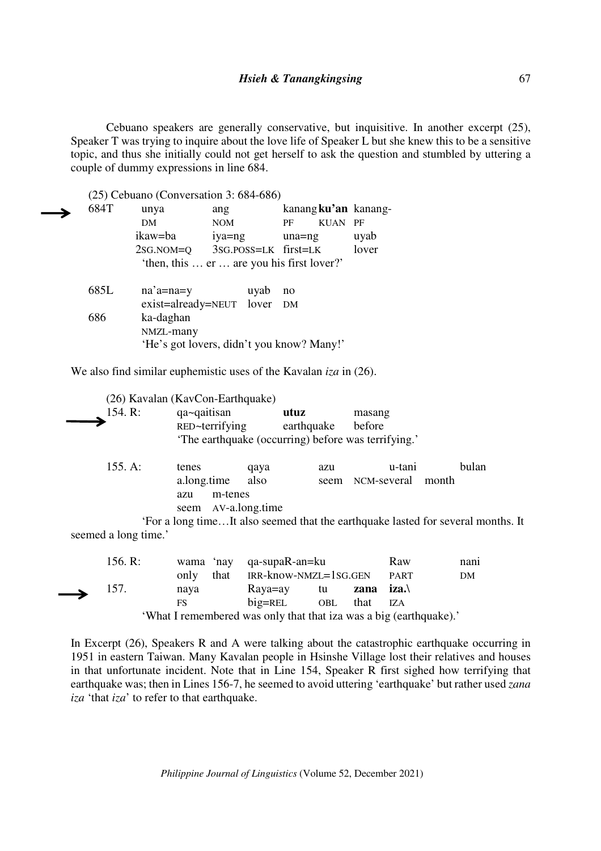Cebuano speakers are generally conservative, but inquisitive. In another excerpt (25), Speaker T was trying to inquire about the love life of Speaker L but she knew this to be a sensitive topic, and thus she initially could not get herself to ask the question and stumbled by uttering a couple of dummy expressions in line 684.

(25) Cebuano (Conversation 3: 684-686)

| 684T | unya                                       | ang        |      |                      |             | kanang ku'an kanang- |
|------|--------------------------------------------|------------|------|----------------------|-------------|----------------------|
|      | <b>DM</b>                                  | <b>NOM</b> |      | PF                   | <b>KUAN</b> | PF                   |
|      | ikaw=ba                                    | iya=ng     |      | $una=ng$             |             | uyab                 |
|      | $2SG.NOM=Q$                                |            |      | 3SG.POSS=LK first=LK |             | lover                |
|      | 'then, this  er  are you his first lover?' |            |      |                      |             |                      |
|      |                                            |            |      |                      |             |                      |
| 685L | $na'$ a=na=y                               |            | uyab | no                   |             |                      |
|      | exist=already=NEUT lover DM                |            |      |                      |             |                      |
| 686  | ka-daghan                                  |            |      |                      |             |                      |
|      | NMZL-many                                  |            |      |                      |             |                      |
|      | 'He's got lovers, didn't you know? Many!'  |            |      |                      |             |                      |

We also find similar euphemistic uses of the Kavalan *iza* in (26).

| 154. R:                         | (26) Kavalan (KavCon-Earthquake)<br>qa~qaitisan<br>RED~terrifying<br>'The earthquake (occurring) before was terrifying.' | utuz<br>earthquake |             | masang<br>before      |                                                                                                    |
|---------------------------------|--------------------------------------------------------------------------------------------------------------------------|--------------------|-------------|-----------------------|----------------------------------------------------------------------------------------------------|
| 155. A:<br>seemed a long time.' | tenes<br>a.long.time<br>m-tenes<br>azu<br>AV-a.long.time<br>seem                                                         | qaya<br>also       | azu<br>seem | u-tani<br>NCM-several | bulan<br>month<br>'For a long timeIt also seemed that the earthquake lasted for several months. It |

|               | 156. R: | wama 'nay qa-supaR-an=ku                                            |                             |              | Raw         | nani |
|---------------|---------|---------------------------------------------------------------------|-----------------------------|--------------|-------------|------|
|               |         | only that IRR-know-NMZL=1SG.GEN                                     |                             |              | <b>PART</b> | DM   |
| $\rightarrow$ | 157.    | nava                                                                | Raya=ay tu <b>zana iza.</b> |              |             |      |
|               |         | FS.                                                                 | $big=$ REL                  | OBL that IZA |             |      |
|               |         | What I remembered wee only that that ize wee a hig $(\text{count})$ |                             |              |             |      |

'What I remembered was only that that iza was a big (earthquake).'

In Excerpt (26), Speakers R and A were talking about the catastrophic earthquake occurring in 1951 in eastern Taiwan. Many Kavalan people in Hsinshe Village lost their relatives and houses in that unfortunate incident. Note that in Line 154, Speaker R first sighed how terrifying that earthquake was; then in Lines 156-7, he seemed to avoid uttering 'earthquake' but rather used *zana iza* 'that *iza*' to refer to that earthquake.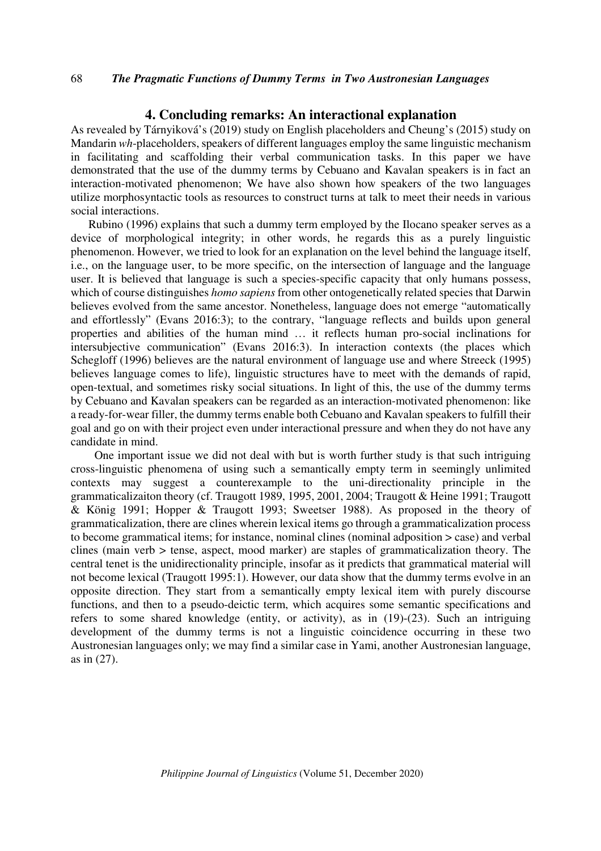# **4. Concluding remarks: An interactional explanation**

As revealed by Tárnyiková's (2019) study on English placeholders and Cheung's (2015) study on Mandarin *wh*-placeholders, speakers of different languages employ the same linguistic mechanism in facilitating and scaffolding their verbal communication tasks. In this paper we have demonstrated that the use of the dummy terms by Cebuano and Kavalan speakers is in fact an interaction-motivated phenomenon; We have also shown how speakers of the two languages utilize morphosyntactic tools as resources to construct turns at talk to meet their needs in various social interactions.

Rubino (1996) explains that such a dummy term employed by the Ilocano speaker serves as a device of morphological integrity; in other words, he regards this as a purely linguistic phenomenon. However, we tried to look for an explanation on the level behind the language itself, i.e., on the language user, to be more specific, on the intersection of language and the language user. It is believed that language is such a species-specific capacity that only humans possess, which of course distinguishes *homo sapiens* from other ontogenetically related species that Darwin believes evolved from the same ancestor. Nonetheless, language does not emerge "automatically and effortlessly" (Evans 2016:3); to the contrary, "language reflects and builds upon general properties and abilities of the human mind … it reflects human pro-social inclinations for intersubjective communication" (Evans 2016:3). In interaction contexts (the places which Schegloff (1996) believes are the natural environment of language use and where Streeck (1995) believes language comes to life), linguistic structures have to meet with the demands of rapid, open-textual, and sometimes risky social situations. In light of this, the use of the dummy terms by Cebuano and Kavalan speakers can be regarded as an interaction-motivated phenomenon: like a ready-for-wear filler, the dummy terms enable both Cebuano and Kavalan speakers to fulfill their goal and go on with their project even under interactional pressure and when they do not have any candidate in mind.

One important issue we did not deal with but is worth further study is that such intriguing cross-linguistic phenomena of using such a semantically empty term in seemingly unlimited contexts may suggest a counterexample to the uni-directionality principle in the grammaticalizaiton theory (cf. Traugott 1989, 1995, 2001, 2004; Traugott & Heine 1991; Traugott & König 1991; Hopper & Traugott 1993; Sweetser 1988). As proposed in the theory of grammaticalization, there are clines wherein lexical items go through a grammaticalization process to become grammatical items; for instance, nominal clines (nominal adposition > case) and verbal clines (main verb  $>$  tense, aspect, mood marker) are staples of grammaticalization theory. The central tenet is the unidirectionality principle, insofar as it predicts that grammatical material will not become lexical (Traugott 1995:1). However, our data show that the dummy terms evolve in an opposite direction. They start from a semantically empty lexical item with purely discourse functions, and then to a pseudo-deictic term, which acquires some semantic specifications and refers to some shared knowledge (entity, or activity), as in (19)-(23). Such an intriguing development of the dummy terms is not a linguistic coincidence occurring in these two Austronesian languages only; we may find a similar case in Yami, another Austronesian language, as in (27).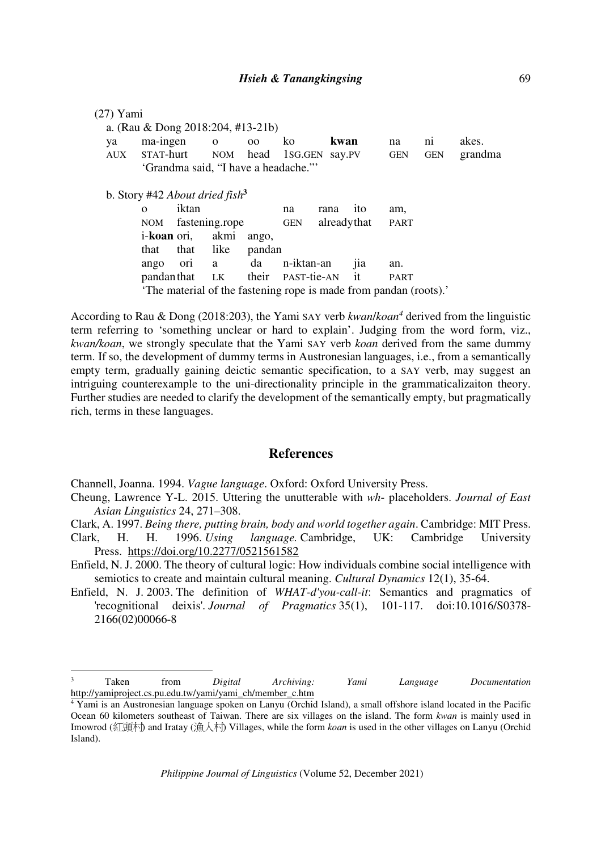| ya  | ma-ingen                                   |                | $\mathbf{o}$ | 00     | ko                      | kwan        |     | na          | ni         | akes.   |
|-----|--------------------------------------------|----------------|--------------|--------|-------------------------|-------------|-----|-------------|------------|---------|
| AUX | STAT-hurt                                  |                |              |        | NOM head 1SG.GEN Say.PV |             |     | <b>GEN</b>  | <b>GEN</b> | grandma |
|     | 'Grandma said, "I have a headache."        |                |              |        |                         |             |     |             |            |         |
|     | b. Story #42 About dried fish <sup>3</sup> |                |              |        |                         |             |     |             |            |         |
|     | $\Omega$                                   | iktan          |              |        | na                      | rana        | ito | am,         |            |         |
|     |                                            |                |              |        |                         | alreadythat |     | <b>PART</b> |            |         |
|     | NOM                                        | fastening.rope |              |        | <b>GEN</b>              |             |     |             |            |         |
|     | i- <b>koan</b> ori,                        |                | akmi         | ango,  |                         |             |     |             |            |         |
|     | that                                       | that           | like         | pandan |                         |             |     |             |            |         |
|     | ango                                       | ori            | a            | da     | n-iktan-an              |             | jia | an.         |            |         |
|     | pandan that                                |                | <b>LK</b>    | their  | PAST-tie-AN             |             | it  | <b>PART</b> |            |         |

According to Rau & Dong (2018:203), the Yami SAY verb *kwan*/*koan<sup>4</sup>* derived from the linguistic term referring to 'something unclear or hard to explain'. Judging from the word form, viz., *kwan/koan*, we strongly speculate that the Yami SAY verb *koan* derived from the same dummy term. If so, the development of dummy terms in Austronesian languages, i.e., from a semantically empty term, gradually gaining deictic semantic specification, to a SAY verb, may suggest an intriguing counterexample to the uni-directionality principle in the grammaticalizaiton theory. Further studies are needed to clarify the development of the semantically empty, but pragmatically rich, terms in these languages.

# **References**

Channell, Joanna. 1994. *Vague language*. Oxford: Oxford University Press.

-

Cheung, Lawrence Y-L. 2015. Uttering the unutterable with *wh*- placeholders. *Journal of East Asian Linguistics* 24, 271–308.

Clark, A. 1997. *Being there, putting brain, body and world together again*. Cambridge: MIT Press. Clark, H. H. 1996. *Using language.* Cambridge, UK: Cambridge University Press. https://doi.org/10.2277/0521561582

Enfield, N. J. 2000. The theory of cultural logic: How individuals combine social intelligence with semiotics to create and maintain cultural meaning. *Cultural Dynamics* 12(1), 35-64.

Enfield, N. J. 2003. The definition of *WHAT-d'you-call-it*: Semantics and pragmatics of 'recognitional deixis'. *Journal of Pragmatics* 35(1), 101-117. doi:10.1016/S0378- 2166(02)00066-8

<sup>3</sup> Taken from *Digital Archiving: Yami Language Documentation* http://yamiproject.cs.pu.edu.tw/yami/yami\_ch/member\_c.htm

<sup>4</sup> Yami is an Austronesian language spoken on Lanyu (Orchid Island), a small offshore island located in the Pacific Ocean 60 kilometers southeast of Taiwan. There are six villages on the island. The form *kwan* is mainly used in Imowrod (紅頭村) and Iratay (漁人村) Villages, while the form *koan* is used in the other villages on Lanyu (Orchid Island).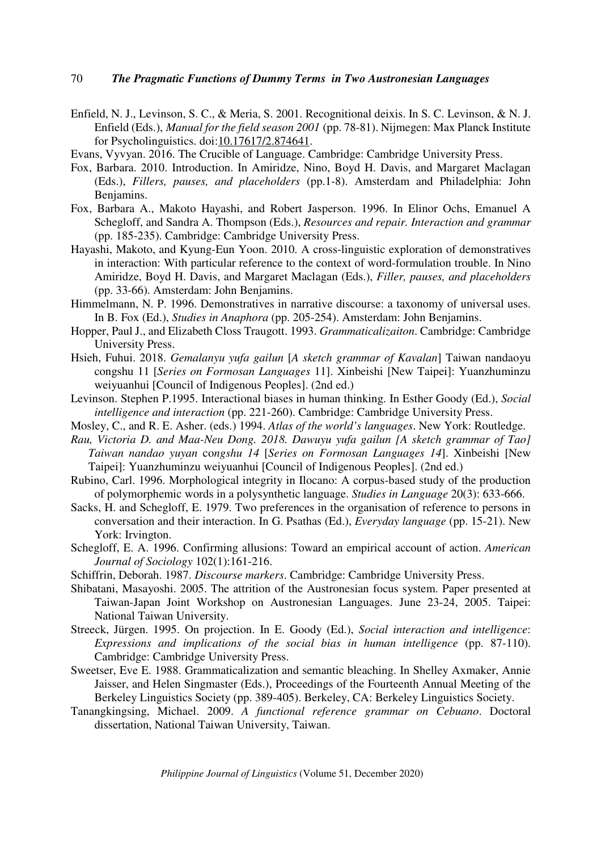- Enfield, N. J., Levinson, S. C., & Meria, S. 2001. Recognitional deixis. In S. C. Levinson, & N. J. Enfield (Eds.), *Manual for the field season 2001* (pp. 78-81). Nijmegen: Max Planck Institute for Psycholinguistics. doi:10.17617/2.874641.
- Evans, Vyvyan. 2016. The Crucible of Language. Cambridge: Cambridge University Press.
- Fox, Barbara. 2010. Introduction. In Amiridze, Nino, Boyd H. Davis, and Margaret Maclagan (Eds.), *Fillers, pauses, and placeholders* (pp.1-8). Amsterdam and Philadelphia: John Benjamins.
- Fox, Barbara A., Makoto Hayashi, and Robert Jasperson. 1996. In Elinor Ochs, Emanuel A Schegloff, and Sandra A. Thompson (Eds.), *Resources and repair. Interaction and grammar* (pp. 185-235). Cambridge: Cambridge University Press.
- Hayashi, Makoto, and Kyung-Eun Yoon. 2010. A cross-linguistic exploration of demonstratives in interaction: With particular reference to the context of word-formulation trouble. In Nino Amiridze, Boyd H. Davis, and Margaret Maclagan (Eds.), *Filler, pauses, and placeholders* (pp. 33-66). Amsterdam: John Benjamins.
- Himmelmann, N. P. 1996. Demonstratives in narrative discourse: a taxonomy of universal uses. In B. Fox (Ed.), *Studies in Anaphora* (pp. 205-254). Amsterdam: John Benjamins.
- Hopper, Paul J., and Elizabeth Closs Traugott. 1993. *Grammaticalizaiton*. Cambridge: Cambridge University Press.
- Hsieh, Fuhui. 2018. *Gemalanyu yufa gailun* [*A sketch grammar of Kavalan*] Taiwan nandaoyu congshu 11 [*Series on Formosan Languages* 11]. Xinbeishi [New Taipei]: Yuanzhuminzu weiyuanhui [Council of Indigenous Peoples]. (2nd ed.)
- Levinson. Stephen P.1995. Interactional biases in human thinking. In Esther Goody (Ed.), *Social intelligence and interaction* (pp. 221-260). Cambridge: Cambridge University Press.
- Mosley, C., and R. E. Asher. (eds.) 1994. *Atlas of the world's languages*. New York: Routledge.
- *Rau, Victoria D. and Maa-Neu Dong. 2018. Dawuyu yufa gailun [A sketch grammar of Tao] Taiwan nandao yuyan* co*ngshu 14* [*Series on Formosan Languages 14*]. Xinbeishi [New Taipei]: Yuanzhuminzu weiyuanhui [Council of Indigenous Peoples]. (2nd ed.)
- Rubino, Carl. 1996. Morphological integrity in Ilocano: A corpus-based study of the production of polymorphemic words in a polysynthetic language. *Studies in Language* 20(3): 633-666.
- Sacks, H. and Schegloff, E. 1979. Two preferences in the organisation of reference to persons in conversation and their interaction. In G. Psathas (Ed.), *Everyday language* (pp. 15-21). New York: Irvington.
- Schegloff, E. A. 1996. Confirming allusions: Toward an empirical account of action. *American Journal of Sociology* 102(1):161-216.
- Schiffrin, Deborah. 1987. *Discourse markers*. Cambridge: Cambridge University Press.
- Shibatani, Masayoshi. 2005. The attrition of the Austronesian focus system. Paper presented at Taiwan-Japan Joint Workshop on Austronesian Languages. June 23-24, 2005. Taipei: National Taiwan University.
- Streeck, Jürgen. 1995. On projection. In E. Goody (Ed.), *Social interaction and intelligence*: *Expressions and implications of the social bias in human intelligence* (pp. 87-110). Cambridge: Cambridge University Press.
- Sweetser, Eve E. 1988. Grammaticalization and semantic bleaching. In Shelley Axmaker, Annie Jaisser, and Helen Singmaster (Eds.), Proceedings of the Fourteenth Annual Meeting of the Berkeley Linguistics Society (pp. 389-405). Berkeley, CA: Berkeley Linguistics Society.
- Tanangkingsing, Michael. 2009. *A functional reference grammar on Cebuano*. Doctoral dissertation, National Taiwan University, Taiwan.